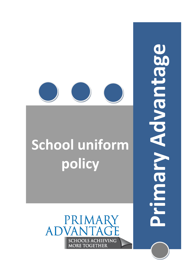# **School uniform policy**

**Primary Advantage**U Advantag Naduq

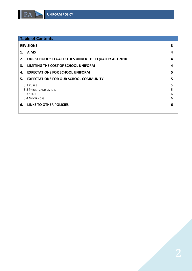

| <b>Table of Contents</b> |                                                       |   |
|--------------------------|-------------------------------------------------------|---|
| <b>REVISIONS</b>         |                                                       | 3 |
| <b>AIMS</b>              |                                                       | 4 |
| 2.                       | OUR SCHOOLS' LEGAL DUTIES UNDER THE EQUALITY ACT 2010 | 4 |
| 3.                       | LIMITING THE COST OF SCHOOL UNIFORM                   | 4 |
| 4.                       | <b>EXPECTATIONS FOR SCHOOL UNIFORM</b>                |   |
| 5.                       | <b>EXPECTATIONS FOR OUR SCHOOL COMMUNITY</b>          | 5 |
| 5.1 PUPILS               |                                                       | 5 |
| 5.2 PARENTS AND CARERS   |                                                       | 5 |
| 5.3 STAFF                |                                                       | 6 |
| 5.4 GOVERNORS            |                                                       | 6 |
| 6.                       | <b>LINKS TO OTHER POLICIES</b>                        | 6 |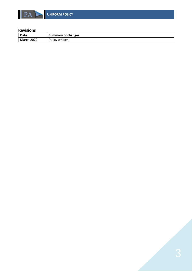

## <span id="page-2-0"></span>**Revisions**

| Date  | <b>Summary of changes</b> |
|-------|---------------------------|
| 2022  | written.                  |
| March | <b>POIICY</b>             |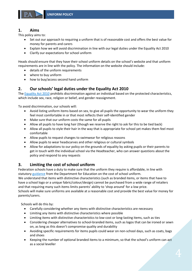

# <span id="page-3-0"></span>**1. Aims**

This policy aims to:

- Set out our approach to requiring a uniform that is of reasonable cost and offers the best value for money for parents and carers
- Explain how we will avoid discrimination in line with our legal duties under the Equality Act 2010
- Clarify our expectations for school uniform

Heads should ensure that they have their school uniform details on the school's website and that uniform requirements are in line with the policy. The information on the website should include:

- details of the uniform requirements
- where to buy uniform
- how to buy/access second hand uniform

# <span id="page-3-1"></span>**2. Our schools' legal duties under the Equality Act 2010**

The [Equality Act 2010](https://www.legislation.gov.uk/ukpga/2010/15/contents) prohibits discrimination against an individual based on the protected characteristics, which include sex, race, religion or belief, and gender reassignment.

To avoid discrimination, our schools will:

- Avoid listing uniform items based on sex, to give all pupils the opportunity to wear the uniform they feel most comfortable in or that most reflects their self-identified gender
- Make sure that our uniform costs the same for all pupils
- Allow all pupils to have long hair (though we reserve the right to ask for this to be tied back)
- Allow all pupils to style their hair in the way that is appropriate for school yet makes them feel most comfortable
- Allow pupils to request changes to swimwear for religious reasons
- Allow pupils to wear headscarves and other religious or cultural symbols
- Allow for adaptations to our policy on the grounds of equality by asking pupils or their parents to get in touch with the individual school via the Headteacher, who can answer questions about the policy and respond to any requests

# <span id="page-3-2"></span>**3. Limiting the cost of school uniform**

Federation schools have a duty to make sure that the uniform they require is affordable, in line with statutory [guidance](https://www.gov.uk/government/publications/cost-of-school-uniforms/cost-of-school-uniforms) from the Department for Education on the cost of school uniform.

We understand that items with distinctive characteristics (such as branded items, or items that have to have a school logo or a unique fabric/colour/design) cannot be purchased from a wide range of retailers and that requiring many such items limits parents' ability to 'shop around' for a low price.

Schools will make sure uniforms are available at a reasonable cost and provide the best value for money for parents/carers.

Schools will do this by:

- Carefully considering whether any items with distinctive characteristics are necessary
- Limiting any items with distinctive characteristics where possible
- Limiting items with distinctive characteristics to low-cost or long-lasting items, such as ties
- Considering cheaper alternatives to school-branded items, such as logos that can be ironed or sewn on, as long as this doesn't compromise quality and durability
- Avoiding specific requirements for items pupils could wear on non-school days, such as coats, bags and shoes
- Keeping the number of optional branded items to a minimum, so that the school's uniform can act as a social leveller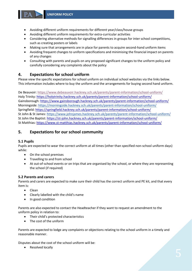- Avoiding different uniform requirements for different year/class/house groups
- Avoiding different uniform requirements for extra-curricular activities
- Considering alternative methods for signalling differences in groups for inter school competitions, such as creating posters or labels
- Making sure that arrangements are in place for parents to acquire second-hand uniform items
- Avoiding frequent changes to uniform specifications and minimising the financial impact on parents of any changes
- Consulting with parents and pupils on any proposed significant changes to the uniform policy and carefully considering any complaints about the policy

### <span id="page-4-0"></span>**4. Expectations for school uniform**

Please view the specific expectations for school uniform on individual school websites via the links below. This information includes where to buy the uniform and the arrangements for buying second hand uniform.

De Beauvoir[: https://www.debeauvoir.hackney.sch.uk/parents/parent-information/school-uniform/](https://www.debeauvoir.hackney.sch.uk/parents/parent-information/school-uniform/) Holy Trinity:<https://holytrinity.hackney.sch.uk/parents/parent-information/school-uniform/> Gainsborough: <https://www.gainsborough.hackney.sch.uk/parents/parent-information/school-uniform/> Morningside:<https://morningside.hackney.sch.uk/parents/parent-information/school-uniform/> Springfield:<https://springfield.hackney.sch.uk/parents/parent-information/school-uniform/> St John & St James:<https://www.johnjames.hackney.sch.uk/parents/parent-information/school-uniform/> St John the Baptist:<https://st-john.hackney.sch.uk/parents/parent-information/school-uniform/> St Matthias:<https://www.st-matthias.hackney.sch.uk/parents/parent-information/school-uniform/>

# <span id="page-4-1"></span>**5. Expectations for our school community**

#### <span id="page-4-2"></span>**5.1 Pupils**

Pupils are expected to wear the correct uniform at all times (other than specified non-school uniform days) while:

- On the school premises
- Travelling to and from school
- At out-of-school events or on trips that are organised by the school, or where they are representing the school (if required)

#### <span id="page-4-3"></span>**5.2 Parents and carers**

Parents and carers are expected to make sure their child has the correct uniform and PE kit, and that every item is:

- Clean
- Clearly labelled with the child's name
- In good condition

Parents are also expected to contact the Headteacher if they want to request an amendment to the uniform policy in relation to:

- Their child's protected characteristics
- The cost of the uniform

Parents are expected to lodge any complaints or objections relating to the school uniform in a timely and reasonable manner.

Disputes about the cost of the school uniform will be:

• Resolved locally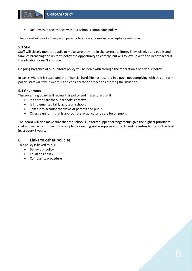Dealt with in accordance with our school's complaints policy

The school will work closely with parents to arrive at a mutually acceptable outcome.

#### <span id="page-5-0"></span>**5.3 Staff**

Staff will closely monitor pupils to make sure they are in the correct uniform. They will give any pupils and families breaching the uniform policy the opportunity to comply, but will follow up with the Headteacher if the situation doesn't improve.

Ongoing breaches of our uniform policy will be dealt with through the federation's behaviour policy.

In cases where it is suspected that financial hardship has resulted in a pupil not complying with this uniform policy, staff will take a mindful and considerate approach to resolving the situation.

#### <span id="page-5-1"></span>**5.4 Governors**

The governing board will review this policy and make sure that it:

- Is appropriate for our schools' contexts
- Is implemented fairly across all schools
- Takes into account the views of parents and pupils
- Offers a uniform that is appropriate, practical and safe for all pupils

The board will also make sure that the school's uniform supplier arrangements give the highest priority to cost and value for money, for example by avoiding single supplier contracts and by re-tendering contracts at least every 5 years.

### <span id="page-5-2"></span>**6. Links to other policies**

This policy is linked to our:

- Behaviour policy
- Equalities policy
- Complaints procedure